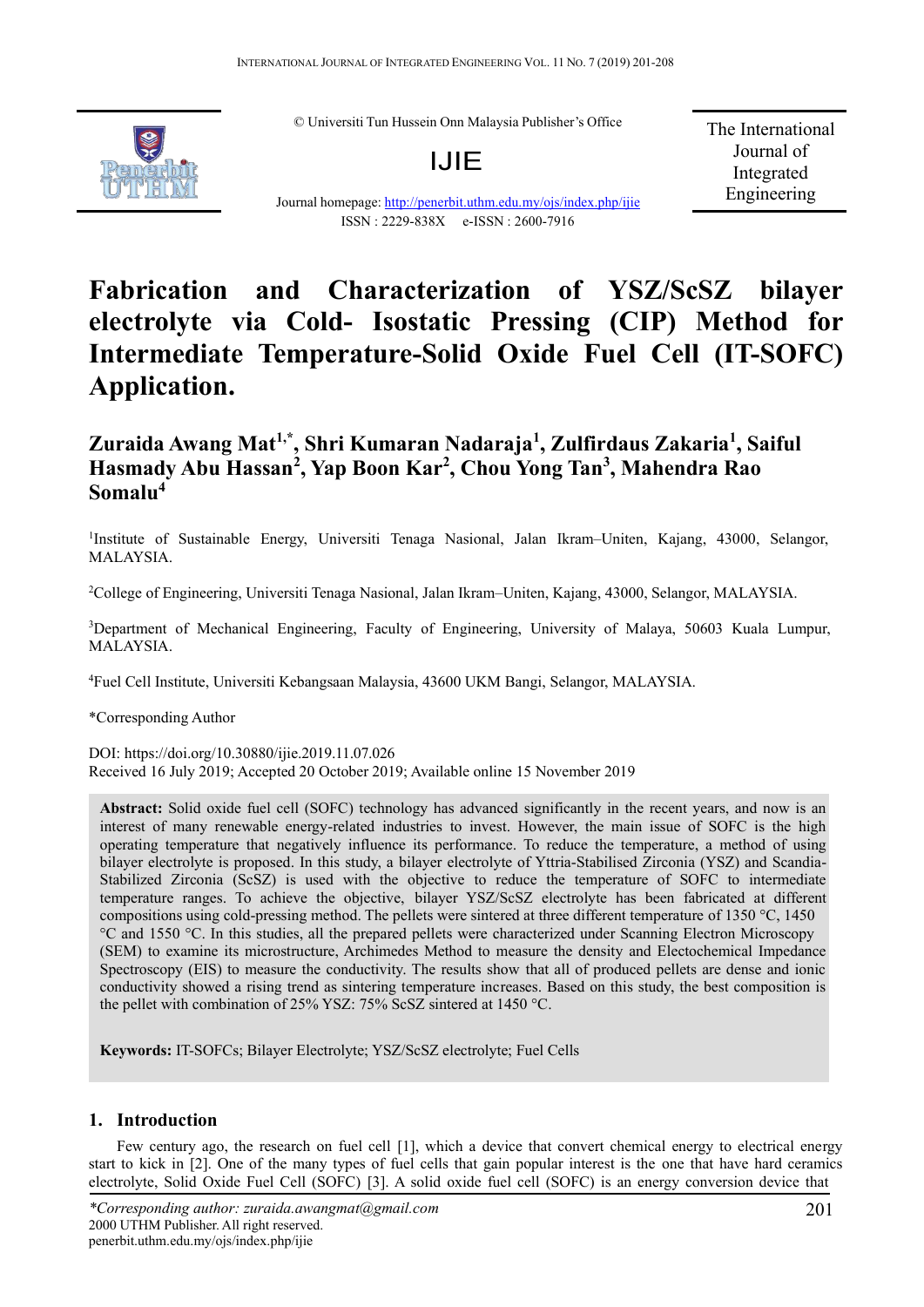© Universiti Tun Hussein Onn Malaysia Publisher's Office

# IJIE

Journal homepage: http://penerbit.uthm.edu.my/ojs/index.php/ijie ISSN : 2229-838X e-ISSN : 2600-7916

The International Journal of Integrated Engineering

# **Fabrication and Characterization of YSZ/ScSZ bilayer electrolyte via Cold- Isostatic Pressing (CIP) Method for Intermediate Temperature-Solid Oxide Fuel Cell (IT-SOFC) Application.**

# **Zuraida Awang Mat1,\*, Shri Kumaran Nadaraja1 , Zulfirdaus Zakaria<sup>1</sup> , Saiful Hasmady Abu Hassan<sup>2</sup> , Yap Boon Kar<sup>2</sup> , Chou Yong Tan<sup>3</sup> , Mahendra Rao Somalu<sup>4</sup>**

<sup>1</sup>Institute of Sustainable Energy, Universiti Tenaga Nasional, Jalan Ikram–Uniten, Kajang, 43000, Selangor, MALAYSIA.

2 College of Engineering, Universiti Tenaga Nasional, Jalan Ikram–Uniten, Kajang, 43000, Selangor, MALAYSIA.

<sup>3</sup>Department of Mechanical Engineering, Faculty of Engineering, University of Malaya, 50603 Kuala Lumpur, MALAYSIA.

4 Fuel Cell Institute, Universiti Kebangsaan Malaysia, 43600 UKM Bangi, Selangor, MALAYSIA.

\*Corresponding Author

DOI: https://doi.org/10.30880/ijie.2019.11.07.026 Received 16 July 2019; Accepted 20 October 2019; Available online 15 November 2019

**Abstract:** Solid oxide fuel cell (SOFC) technology has advanced significantly in the recent years, and now is an interest of many renewable energy-related industries to invest. However, the main issue of SOFC is the high operating temperature that negatively influence its performance. To reduce the temperature, a method of using bilayer electrolyte is proposed. In this study, a bilayer electrolyte of Yttria-Stabilised Zirconia (YSZ) and Scandia-Stabilized Zirconia (ScSZ) is used with the objective to reduce the temperature of SOFC to intermediate temperature ranges. To achieve the objective, bilayer YSZ/ScSZ electrolyte has been fabricated at different compositions using cold-pressing method. The pellets were sintered at three different temperature of 1350 °C, 1450 °C and 1550 °C. In this studies, all the prepared pellets were characterized under Scanning Electron Microscopy (SEM) to examine its microstructure, Archimedes Method to measure the density and Electochemical Impedance Spectroscopy (EIS) to measure the conductivity. The results show that all of produced pellets are dense and ionic conductivity showed a rising trend as sintering temperature increases. Based on this study, the best composition is the pellet with combination of 25% YSZ: 75% ScSZ sintered at 1450 °C.

**Keywords:** IT-SOFCs; Bilayer Electrolyte; YSZ/ScSZ electrolyte; Fuel Cells

## **1. Introduction**

Few century ago, the research on fuel cell [1], which a device that convert chemical energy to electrical energy start to kick in [2]. One of the many types of fuel cells that gain popular interest is the one that have hard ceramics electrolyte, Solid Oxide Fuel Cell (SOFC) [3]. A solid oxide fuel cell (SOFC) is an energy conversion device that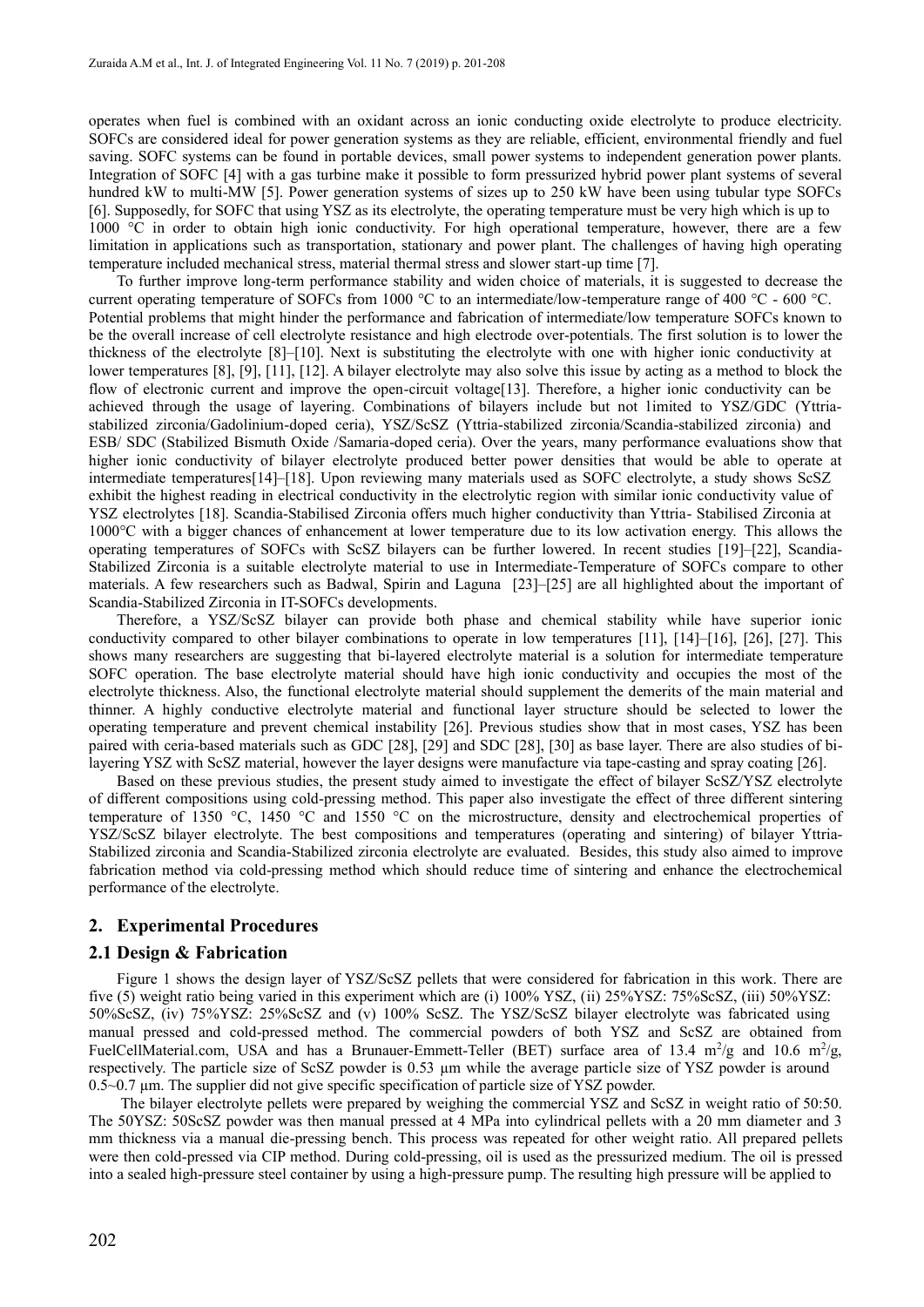operates when fuel is combined with an oxidant across an ionic conducting oxide electrolyte to produce electricity. SOFCs are considered ideal for power generation systems as they are reliable, efficient, environmental friendly and fuel saving. SOFC systems can be found in portable devices, small power systems to independent generation power plants. Integration of SOFC [4] with a gas turbine make it possible to form pressurized hybrid power plant systems of several hundred kW to multi-MW [5]. Power generation systems of sizes up to 250 kW have been using tubular type SOFCs [6]. Supposedly, for SOFC that using YSZ as its electrolyte, the operating temperature must be very high which is up to 1000 °C in order to obtain high ionic conductivity. For high operational temperature, however, there are a few limitation in applications such as transportation, stationary and power plant. The challenges of having high operating temperature included mechanical stress, material thermal stress and slower start-up time [7].

To further improve long-term performance stability and widen choice of materials, it is suggested to decrease the current operating temperature of SOFCs from 1000 °C to an intermediate/low-temperature range of 400 °C - 600 °C. Potential problems that might hinder the performance and fabrication of intermediate/low temperature SOFCs known to be the overall increase of cell electrolyte resistance and high electrode over-potentials. The first solution is to lower the thickness of the electrolyte [8]–[10]. Next is substituting the electrolyte with one with higher ionic conductivity at lower temperatures [8], [9], [11], [12]. A bilayer electrolyte may also solve this issue by acting as a method to block the flow of electronic current and improve the open-circuit voltage<sup>[13]</sup>. Therefore, a higher ionic conductivity can be achieved through the usage of layering. Combinations of bilayers include but not limited to YSZ/GDC (Yttriastabilized zirconia/Gadolinium-doped ceria), YSZ/ScSZ (Yttria-stabilized zirconia/Scandia-stabilized zirconia) and ESB/ SDC (Stabilized Bismuth Oxide /Samaria-doped ceria). Over the years, many performance evaluations show that higher ionic conductivity of bilayer electrolyte produced better power densities that would be able to operate at intermediate temperatures[14]–[18]. Upon reviewing many materials used as SOFC electrolyte, a study shows ScSZ exhibit the highest reading in electrical conductivity in the electrolytic region with similar ionic conductivity value of YSZ electrolytes [18]. Scandia-Stabilised Zirconia offers much higher conductivity than Yttria- Stabilised Zirconia at 1000°C with a bigger chances of enhancement at lower temperature due to its low activation energy. This allows the operating temperatures of SOFCs with ScSZ bilayers can be further lowered. In recent studies [19]–[22], Scandia-Stabilized Zirconia is a suitable electrolyte material to use in Intermediate-Temperature of SOFCs compare to other materials. A few researchers such as Badwal, Spirin and Laguna [23]–[25] are all highlighted about the important of Scandia-Stabilized Zirconia in IT-SOFCs developments.

Therefore, a YSZ/ScSZ bilayer can provide both phase and chemical stability while have superior ionic conductivity compared to other bilayer combinations to operate in low temperatures [11], [14]–[16], [26], [27]. This shows many researchers are suggesting that bi-layered electrolyte material is a solution for intermediate temperature SOFC operation. The base electrolyte material should have high ionic conductivity and occupies the most of the electrolyte thickness. Also, the functional electrolyte material should supplement the demerits of the main material and thinner. A highly conductive electrolyte material and functional layer structure should be selected to lower the operating temperature and prevent chemical instability [26]. Previous studies show that in most cases, YSZ has been paired with ceria-based materials such as GDC [28], [29] and SDC [28], [30] as base layer. There are also studies of bilayering YSZ with ScSZ material, however the layer designs were manufacture via tape-casting and spray coating [26].

Based on these previous studies, the present study aimed to investigate the effect of bilayer ScSZ/YSZ electrolyte of different compositions using cold-pressing method. This paper also investigate the effect of three different sintering temperature of 1350 °C, 1450 °C and 1550 °C on the microstructure, density and electrochemical properties of YSZ/ScSZ bilayer electrolyte. The best compositions and temperatures (operating and sintering) of bilayer Yttria-Stabilized zirconia and Scandia-Stabilized zirconia electrolyte are evaluated. Besides, this study also aimed to improve fabrication method via cold-pressing method which should reduce time of sintering and enhance the electrochemical performance of the electrolyte.

### **2. Experimental Procedures**

#### **2.1 Design & Fabrication**

Figure 1 shows the design layer of YSZ/ScSZ pellets that were considered for fabrication in this work. There are five (5) weight ratio being varied in this experiment which are (i) 100% YSZ, (ii) 25%YSZ: 75%ScSZ, (iii) 50%YSZ: 50%ScSZ, (iv) 75%YSZ: 25%ScSZ and (v) 100% ScSZ. The YSZ/ScSZ bilayer electrolyte was fabricated using manual pressed and cold-pressed method. The commercial powders of both YSZ and ScSZ are obtained from FuelCellMaterial.com, USA and has a Brunauer-Emmett-Teller (BET) surface area of 13.4  $\text{m}^2/\text{g}$  and 10.6  $\text{m}^2/\text{g}$ respectively. The particle size of ScSZ powder is 0.53 µm while the average particle size of YSZ powder is around 0.5~0.7 µm. The supplier did not give specific specification of particle size of YSZ powder.

The bilayer electrolyte pellets were prepared by weighing the commercial YSZ and ScSZ in weight ratio of 50:50. The 50YSZ: 50ScSZ powder was then manual pressed at 4 MPa into cylindrical pellets with a 20 mm diameter and 3 mm thickness via a manual die-pressing bench. This process was repeated for other weight ratio. All prepared pellets were then cold-pressed via CIP method. During cold-pressing, oil is used as the pressurized medium. The oil is pressed into a sealed high-pressure steel container by using a high-pressure pump. The resulting high pressure will be applied to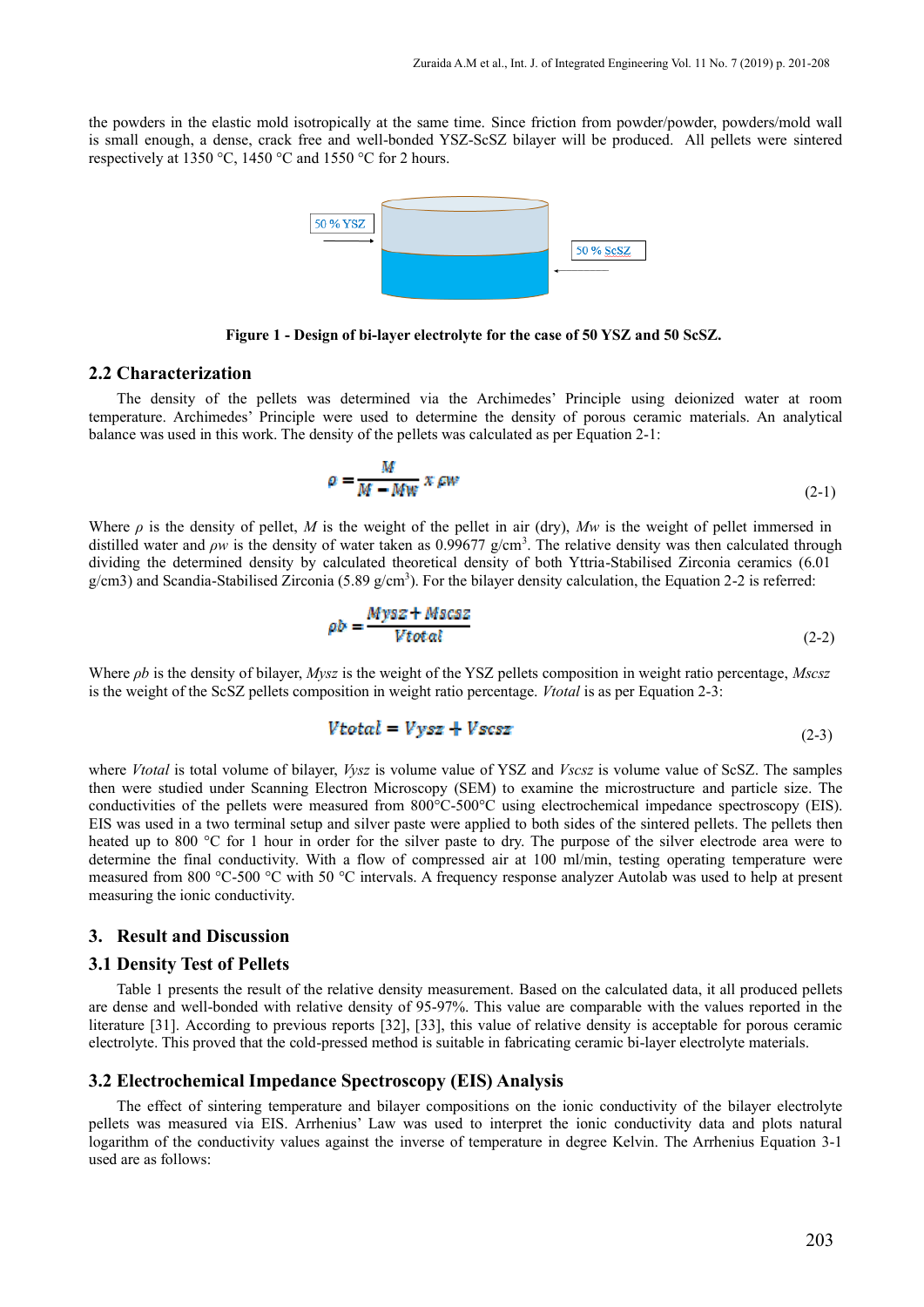the powders in the elastic mold isotropically at the same time. Since friction from powder/powder, powders/mold wall is small enough, a dense, crack free and well-bonded YSZ-ScSZ bilayer will be produced. All pellets were sintered respectively at 1350 °C, 1450 °C and 1550 °C for 2 hours.



**Figure 1 - Design of bi-layer electrolyte for the case of 50 YSZ and 50 ScSZ.**

#### **2.2 Characterization**

The density of the pellets was determined via the Archimedes' Principle using deionized water at room temperature. Archimedes' Principle were used to determine the density of porous ceramic materials. An analytical balance was used in this work. The density of the pellets was calculated as per Equation 2-1:

$$
\rho = \frac{M}{M - Mw} x \, \rho w \tag{2-1}
$$

Where  $\rho$  is the density of pellet, *M* is the weight of the pellet in air (dry), *Mw* is the weight of pellet immersed in distilled water and *ρw* is the density of water taken as 0.99677 g/cm<sup>3</sup>. The relative density was then calculated through dividing the determined density by calculated theoretical density of both Yttria-Stabilised Zirconia ceramics (6.01 g/cm3) and Scandia-Stabilised Zirconia (5.89 g/cm<sup>3</sup>). For the bilayer density calculation, the Equation 2-2 is referred:

$$
\rho b = \frac{Mysz + Mscsz}{Vtotal} \tag{2-2}
$$

Where *ρb* is the density of bilayer, *Mysz* is the weight of the YSZ pellets composition in weight ratio percentage, *Mscsz* is the weight of the ScSZ pellets composition in weight ratio percentage. *Vtotal* is as per Equation 2-3:

$$
V\text{total} = V\text{ysz} + V\text{scsz} \tag{2-3}
$$

where *Vtotal* is total volume of bilayer, *Vysz* is volume value of YSZ and *Vscsz* is volume value of ScSZ. The samples then were studied under Scanning Electron Microscopy (SEM) to examine the microstructure and particle size. The conductivities of the pellets were measured from 800°C-500°C using electrochemical impedance spectroscopy (EIS). EIS was used in a two terminal setup and silver paste were applied to both sides of the sintered pellets. The pellets then heated up to 800 °C for 1 hour in order for the silver paste to dry. The purpose of the silver electrode area were to determine the final conductivity. With a flow of compressed air at 100 ml/min, testing operating temperature were measured from 800 °C-500 °C with 50 °C intervals. A frequency response analyzer Autolab was used to help at present measuring the ionic conductivity.

#### **3. Result and Discussion**

#### **3.1 Density Test of Pellets**

Table 1 presents the result of the relative density measurement. Based on the calculated data, it all produced pellets are dense and well-bonded with relative density of 95-97%. This value are comparable with the values reported in the literature [31]. According to previous reports [32], [33], this value of relative density is acceptable for porous ceramic electrolyte. This proved that the cold-pressed method is suitable in fabricating ceramic bi-layer electrolyte materials.

#### **3.2 Electrochemical Impedance Spectroscopy (EIS) Analysis**

The effect of sintering temperature and bilayer compositions on the ionic conductivity of the bilayer electrolyte pellets was measured via EIS. Arrhenius' Law was used to interpret the ionic conductivity data and plots natural logarithm of the conductivity values against the inverse of temperature in degree Kelvin. The Arrhenius Equation 3-1 used are as follows: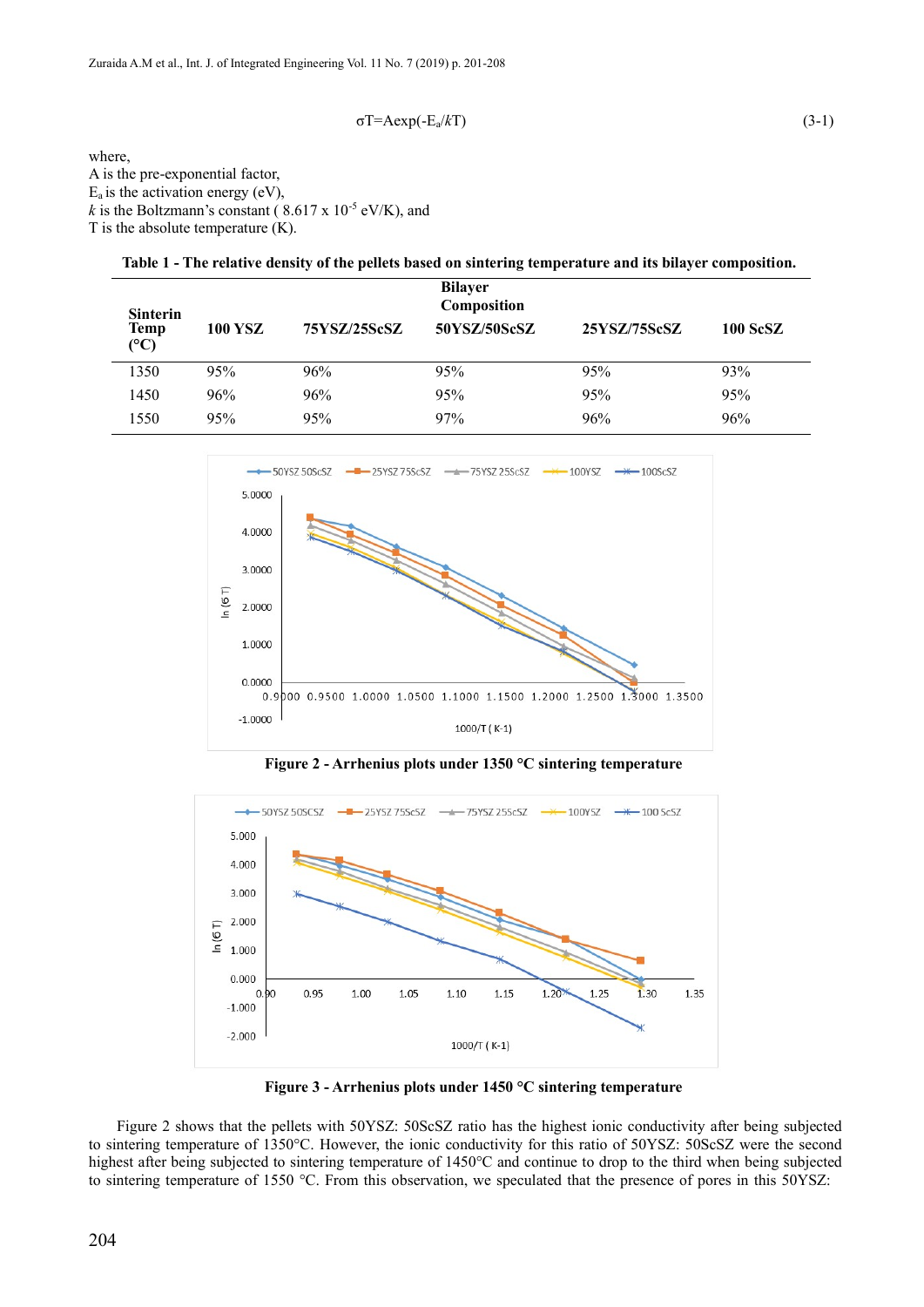$$
\sigma T = A \exp(-E_a/kT) \tag{3-1}
$$

where, A is the pre-exponential factor,  $E_a$  is the activation energy (eV), *k* is the Boltzmann's constant ( $8.617 \times 10^{-5}$  eV/K), and T is the absolute temperature  $(K)$ .

**Table 1 - The relative density of the pellets based on sintering temperature and its bilayer composition.**

| <b>Sinterin</b><br>Temp<br>$({}^{\circ}C)$ | <b>100 YSZ</b> | 75YSZ/25ScSZ | <b>Bilayer</b><br>Composition<br>50YSZ/50ScSZ | 25YSZ/75ScSZ | 100 ScSZ |
|--------------------------------------------|----------------|--------------|-----------------------------------------------|--------------|----------|
| 1350                                       | 95%            | 96%          | 95%                                           | 95%          | 93%      |
| 1450                                       | 96%            | 96%          | 95%                                           | 95%          | 95%      |
| 1550                                       | 95%            | 95%          | 97%                                           | 96%          | 96%      |



**Figure 2 - Arrhenius plots under 1350 °C sintering temperature**



**Figure 3 - Arrhenius plots under 1450 °C sintering temperature**

Figure 2 shows that the pellets with 50YSZ: 50ScSZ ratio has the highest ionic conductivity after being subjected to sintering temperature of 1350°C. However, the ionic conductivity for this ratio of 50YSZ: 50ScSZ were the second highest after being subjected to sintering temperature of 1450°C and continue to drop to the third when being subjected to sintering temperature of 1550 °C. From this observation, we speculated that the presence of pores in this 50YSZ: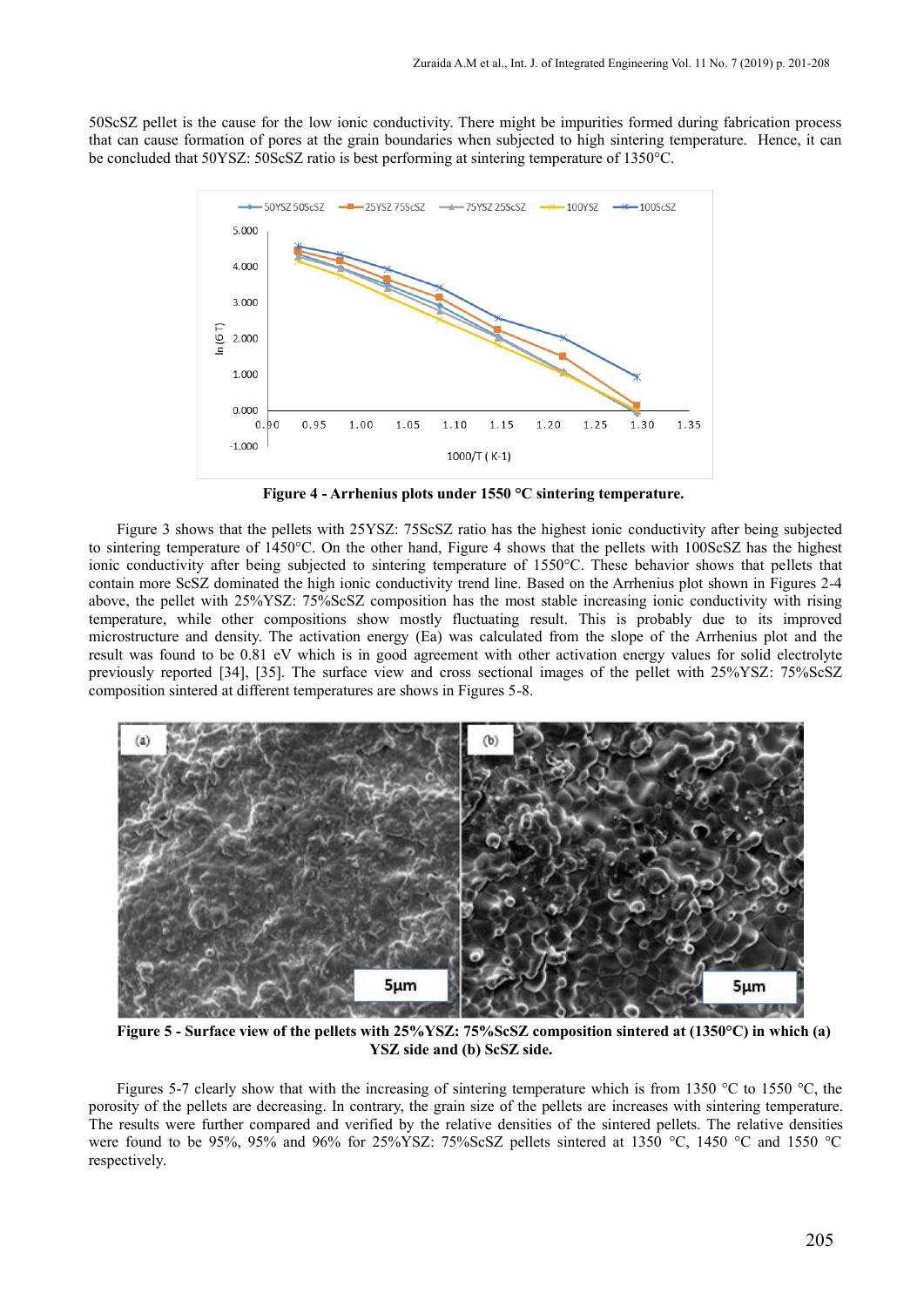50ScSZ pellet is the cause for the low ionic conductivity. There might be impurities formed during fabrication process that can cause formation of pores at the grain boundaries when subjected to high sintering temperature. Hence, it can be concluded that 50YSZ: 50ScSZ ratio is best performing at sintering temperature of 1350°C.



**Figure 4 - Arrhenius plots under 1550 °C sintering temperature.**

Figure 3 shows that the pellets with 25YSZ: 75ScSZ ratio has the highest ionic conductivity after being subjected to sintering temperature of 1450°C. On the other hand, Figure 4 shows that the pellets with 100ScSZ has the highest ionic conductivity after being subjected to sintering temperature of 1550°C. These behavior shows that pellets that contain more ScSZ dominated the high ionic conductivity trend line. Based on the Arrhenius plot shown in Figures 2-4 above, the pellet with 25%YSZ: 75%ScSZ composition has the most stable increasing ionic conductivity with rising temperature, while other compositions show mostly fluctuating result. This is probably due to its improved microstructure and density. The activation energy (Ea) was calculated from the slope of the Arrhenius plot and the result was found to be 0.81 eV which is in good agreement with other activation energy values for solid electrolyte previously reported [34], [35]. The surface view and cross sectional images of the pellet with 25%YSZ: 75%ScSZ composition sintered at different temperatures are shows in Figures 5-8.



**Figure 5 - Surface view of the pellets with 25%YSZ: 75%ScSZ composition sintered at (1350°C) in which (a) YSZ side and (b) ScSZ side.**

Figures 5-7 clearly show that with the increasing of sintering temperature which is from 1350 °C to 1550 °C, the porosity of the pellets are decreasing. In contrary, the grain size of the pellets are increases with sintering temperature. The results were further compared and verified by the relative densities of the sintered pellets. The relative densities were found to be 95%, 95% and 96% for 25%YSZ: 75%ScSZ pellets sintered at 1350 °C, 1450 °C and 1550 °C respectively.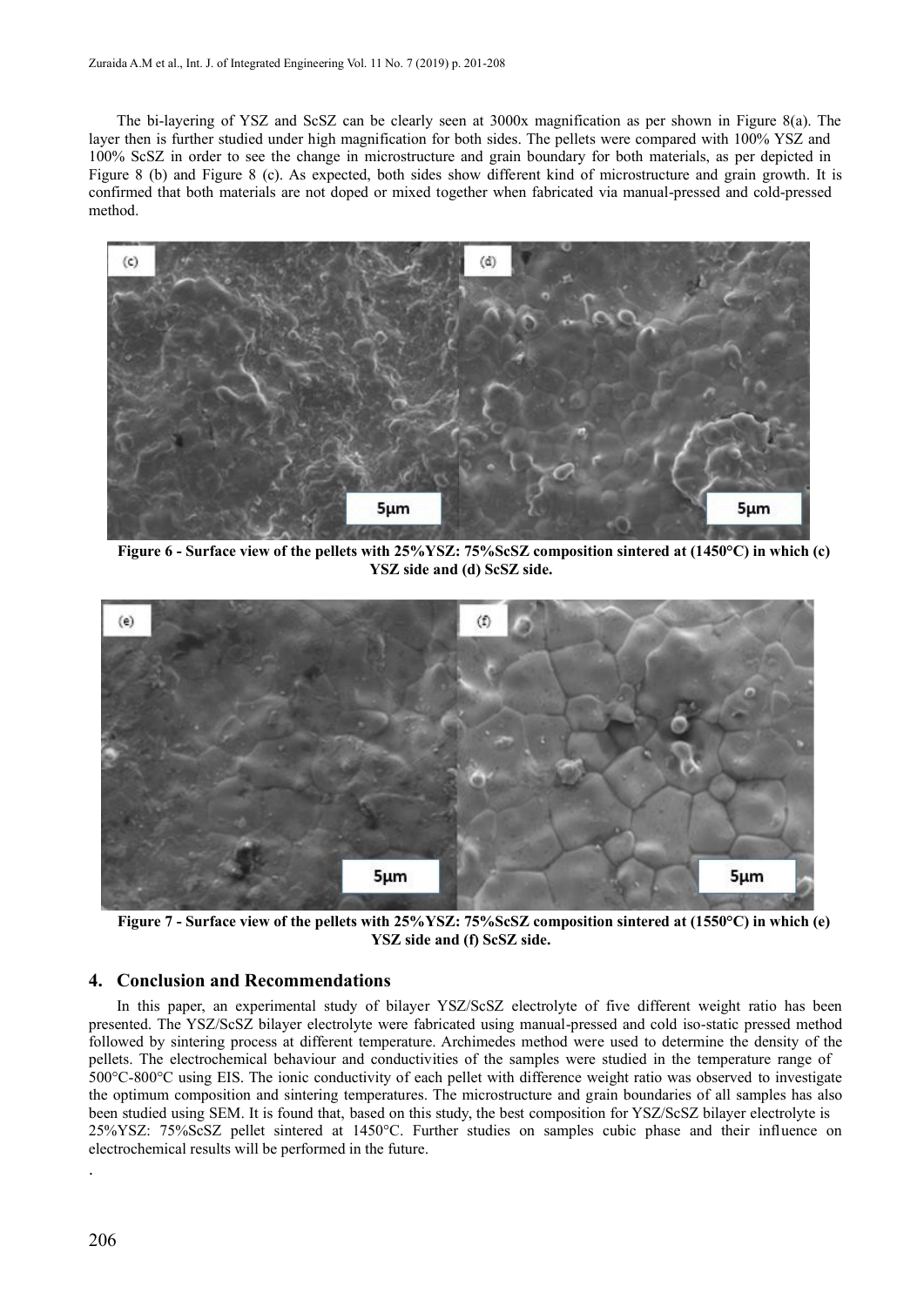The bi-layering of YSZ and ScSZ can be clearly seen at 3000x magnification as per shown in Figure 8(a). The layer then is further studied under high magnification for both sides. The pellets were compared with 100% YSZ and 100% ScSZ in order to see the change in microstructure and grain boundary for both materials, as per depicted in Figure 8 (b) and Figure 8 (c). As expected, both sides show different kind of microstructure and grain growth. It is confirmed that both materials are not doped or mixed together when fabricated via manual-pressed and cold-pressed method.



**Figure 6 - Surface view of the pellets with 25%YSZ: 75%ScSZ composition sintered at (1450°C) in which (c) YSZ side and (d) ScSZ side.**



**Figure 7 - Surface view of the pellets with 25%YSZ: 75%ScSZ composition sintered at (1550°C) in which (e) YSZ side and (f) ScSZ side.**

#### **4. Conclusion and Recommendations**

In this paper, an experimental study of bilayer YSZ/ScSZ electrolyte of five different weight ratio has been presented. The YSZ/ScSZ bilayer electrolyte were fabricated using manual-pressed and cold iso-static pressed method followed by sintering process at different temperature. Archimedes method were used to determine the density of the pellets. The electrochemical behaviour and conductivities of the samples were studied in the temperature range of 500°C-800°C using EIS. The ionic conductivity of each pellet with difference weight ratio was observed to investigate the optimum composition and sintering temperatures. The microstructure and grain boundaries of all samples has also been studied using SEM. It is found that, based on this study, the best composition for YSZ/ScSZ bilayer electrolyte is 25%YSZ: 75%ScSZ pellet sintered at 1450°C. Further studies on samples cubic phase and their influence on electrochemical results will be performed in the future. .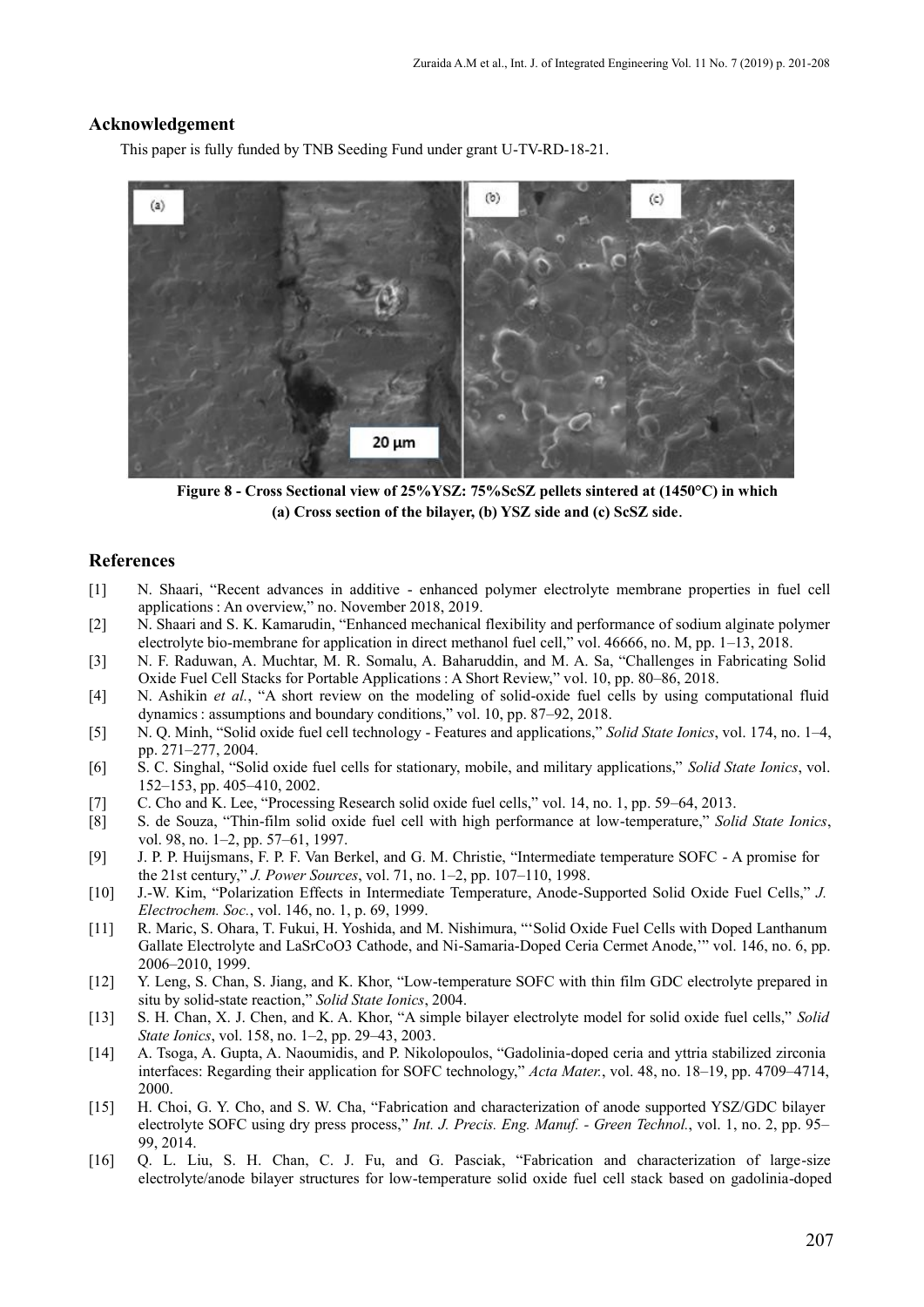### **Acknowledgement**

This paper is fully funded by TNB Seeding Fund under grant U-TV-RD-18-21.



**Figure 8 - Cross Sectional view of 25%YSZ: 75%ScSZ pellets sintered at (1450°C) in which (a) Cross section of the bilayer, (b) YSZ side and (c) ScSZ side**.

#### **References**

- [1] N. Shaari, "Recent advances in additive ‐ enhanced polymer electrolyte membrane properties in fuel cell applications : An overview," no. November 2018, 2019.
- [2] N. Shaari and S. K. Kamarudin, "Enhanced mechanical flexibility and performance of sodium alginate polymer electrolyte bio-membrane for application in direct methanol fuel cell," vol. 46666, no. M, pp. 1–13, 2018.
- [3] N. F. Raduwan, A. Muchtar, M. R. Somalu, A. Baharuddin, and M. A. Sa, "Challenges in Fabricating Solid Oxide Fuel Cell Stacks for Portable Applications : A Short Review," vol. 10, pp. 80–86, 2018.
- [4] N. Ashikin *et al.*, "A short review on the modeling of solid-oxide fuel cells by using computational fluid dynamics : assumptions and boundary conditions," vol. 10, pp. 87–92, 2018.
- [5] N. Q. Minh, "Solid oxide fuel cell technology Features and applications," *Solid State Ionics*, vol. 174, no. 1–4, pp. 271–277, 2004.
- [6] S. C. Singhal, "Solid oxide fuel cells for stationary, mobile, and military applications," *Solid State Ionics*, vol. 152–153, pp. 405–410, 2002.
- [7] C. Cho and K. Lee, "Processing Research solid oxide fuel cells," vol. 14, no. 1, pp. 59–64, 2013.
- [8] S. de Souza, "Thin-film solid oxide fuel cell with high performance at low-temperature," *Solid State Ionics*, vol. 98, no. 1–2, pp. 57–61, 1997.
- [9] J. P. P. Huijsmans, F. P. F. Van Berkel, and G. M. Christie, "Intermediate temperature SOFC A promise for the 21st century," *J. Power Sources*, vol. 71, no. 1–2, pp. 107–110, 1998.
- [10] J.-W. Kim, "Polarization Effects in Intermediate Temperature, Anode-Supported Solid Oxide Fuel Cells," *J. Electrochem. Soc.*, vol. 146, no. 1, p. 69, 1999.
- [11] R. Maric, S. Ohara, T. Fukui, H. Yoshida, and M. Nishimura, "'Solid Oxide Fuel Cells with Doped Lanthanum Gallate Electrolyte and LaSrCoO3 Cathode, and Ni-Samaria-Doped Ceria Cermet Anode,'" vol. 146, no. 6, pp. 2006–2010, 1999.
- [12] Y. Leng, S. Chan, S. Jiang, and K. Khor, "Low-temperature SOFC with thin film GDC electrolyte prepared in situ by solid-state reaction," *Solid State Ionics*, 2004.
- [13] S. H. Chan, X. J. Chen, and K. A. Khor, "A simple bilayer electrolyte model for solid oxide fuel cells," *Solid State Ionics*, vol. 158, no. 1–2, pp. 29–43, 2003.
- [14] A. Tsoga, A. Gupta, A. Naoumidis, and P. Nikolopoulos, "Gadolinia-doped ceria and yttria stabilized zirconia interfaces: Regarding their application for SOFC technology," *Acta Mater.*, vol. 48, no. 18–19, pp. 4709–4714, 2000.
- [15] H. Choi, G. Y. Cho, and S. W. Cha, "Fabrication and characterization of anode supported YSZ/GDC bilayer electrolyte SOFC using dry press process," *Int. J. Precis. Eng. Manuf. - Green Technol.*, vol. 1, no. 2, pp. 95– 99, 2014.
- [16] Q. L. Liu, S. H. Chan, C. J. Fu, and G. Pasciak, "Fabrication and characterization of large-size electrolyte/anode bilayer structures for low-temperature solid oxide fuel cell stack based on gadolinia-doped